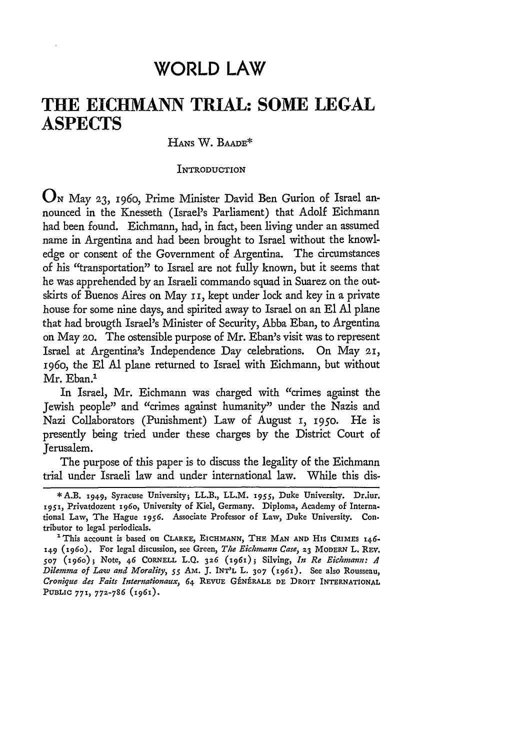# **WORLD LAW**

# **THE EICHMANN TRIAL: SOME LEGAL ASPECTS**

#### HANS W. **BAADE\***

#### **INTRODUCTION**

**ON** May 23, 196o, Prime Minister David Ben Gurion of Israel announced in the Knesseth (Israel's Parliament) that Adolf Eichmann had been found. Eichmann, had, in fact, been living under an assumed name in Argentina and had been brought to Israel without the knowledge or consent of the Government of Argentina. The circumstances of his "transportation" to Israel are not fully known, but it seems that he was apprehended by an Israeli commando squad in Suarez on the outskirts of Buenos Aires on May II, kept under lock and key in a private house for some nine days, and spirited away to Israel on an El **Al** plane that had brougth Israel's Minister of Security, Abba Eban, to Argentina on May 20. The ostensible purpose of Mr. Eban's visit was to represent Israel at Argentina's Independence Day celebrations. On May 21, 196o, the **El Al** plane returned to Israel with Eichmann, but without Mr. Eban.<sup>1</sup>

In Israel, Mr. Eichmann was charged with "crimes against the Jewish people" and "crimes against humanity" under the Nazis and Nazi Collaborators (Punishment) Law of August i, 195o. He is presently being tried under these charges by the District Court of Jerusalem.

The purpose of this paper is to discuss the legality of the Eichmann trial under Israeli law and under international law. While this dis-

<sup>\*</sup> A.B. 1949, Syracuse University; LL.B., LL.M. 1955, Duke University. Dr.iur. **x95i,** Privatdozent **i96o,** University of Kiel, Germany. Diploma, Academy of Interna. tional Law, The Hague *1956.* Associate Professor of Law, Duke University. Con. tributor to legal periodicals.

<sup>&#</sup>x27;This account is based on **CLARKE, EICHMANN, THE** *MAN* **AND** His **CRImEs** 146- **149 (196o).** For legal discussion, see Green, *The Eichmann Case,* **23** MODERN L. REV. *507* **(196o);** Note, 46 CORNE.LL L.Q. **326** (196I); Silving, *In Re Eichmann: A Dilemma of Law and Morality,* **55 AM. J. INT'L** L. **307** *(196i).* See also Rousseau, *Crontique des Faits Internationaux, 64* **REVUE** GgNtRALE **DE DROIT INTERNATIONAL PUBLIC 771, 772-786 (i96i).**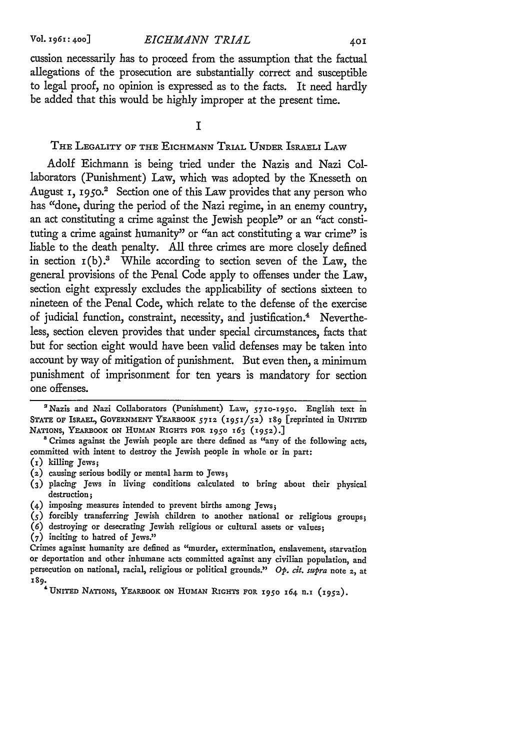cussion necessarily has to proceed from the assumption that the factual allegations of the prosecution are substantially correct and susceptible to legal proof, no opinion is expressed as to the facts. It need hardly be added that this would be highly improper at the present time.

**I**

#### THE LEGALITY OF **TE EICHMANN** TRIAL **UNDER ISRAELI** LAW

Adolf Eichmann is being tried under the Nazis and Nazi Collaborators (Punishment) Law, which was adopted by the Knesseth on August i, **1950.2** Section one of this Law provides that any person who has "done, during the period of the Nazi regime, in an enemy country, an act constituting a crime against the Jewish people" or an "act constituting a crime against humanity<sup>3</sup> or "an act constituting a war crime" is liable to the death penalty. All three crimes are more closely defined in section  $I(b)$ .<sup>3</sup> While according to section seven of the Law, the general provisions of the Penal Code apply to offenses under the Law, section eight expressly excludes the applicability of sections sixteen to nineteen of the Penal Code, which relate to the defense of the exercise of judicial function, constraint, necessity, and justification.<sup>4</sup> Nevertheless, section eleven provides that under special circumstances, facts that but for section eight would have been valid defenses may be taken into account by way of mitigation of punishment. But even then, a minimum punishment of imprisonment for ten years is mandatory for section one offenses.

- (2) causing serious bodily or mental harm to Jews;
- (3) placing Jews in living conditions calculated to bring about their physical destruction;
- (4) imposing measures intended to prevent births among Jews;
- (5) forcibly transferring Jewish children to another national or religious groups;
- *(6)* destroying or desecrating Jewish religious or cultural assets or values;
- **(7)** inciting to hatred of Jews."

**Crimes against humanity** are defined as "murder, extermination, enslavement, starvation or deportation and other inhumane acts committed against any civilian population, and persecution on national, racial, religious or political grounds." *Op.* cit. sapra note **2, at 189.**

'UNITED NATIONS, YEARBoOK ON HUMAN RIGHTS FOR **1950** 164 n.i **(952).**

<sup>&</sup>lt;sup>2</sup> Nazis and Nazi Collaborators (Punishment) Law, 5710-1950. English text in STATE OF ISRAEL, GOVERNMENT YEARBOOK 5712 (1951/52) 189 *[reprinted in UNITED* NATIONS, YEARBOOK ON HUMAN RIGHTS FOR 1950 163 (1952).]

**<sup>8</sup>**Crimes against the Jewish people are there defined as "any of the following acts, committed with intent to destroy the Jewish people in whole or in part:

 $(i)$  killing Jews;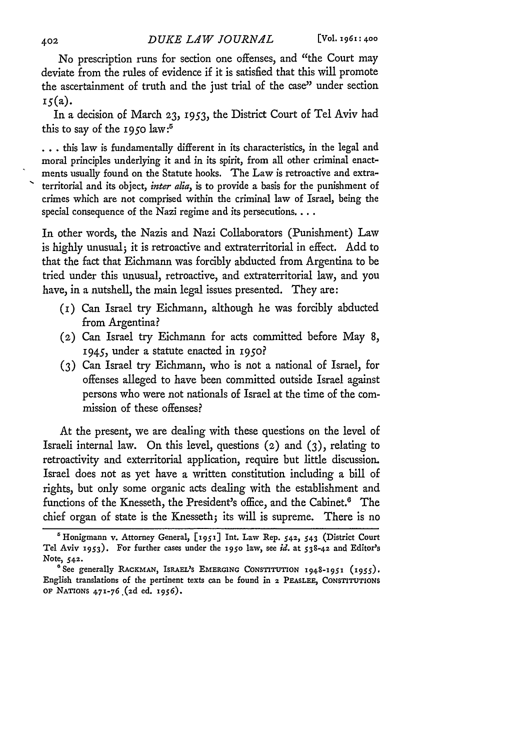No prescription runs for section one offenses, and "the Court may deviate from the rules of evidence if it is satisfied that this will promote the ascertainment of truth and the just trial of the case" under section  $15(a).$ 

In a decision of March 23, 1953, the District Court of Tel Aviv had this to say of the **1950 law:5**

**. ..** this law is fundamentally different in its characteristics, in the legal and moral principles underlying it and in its spirit, from all other criminal enactments usually found on the Statute books. The Law is retroactive and extraterritorial and its object, *inter alia,* is to provide a basis for the punishment of crimes which are not comprised within the criminal law of Israel, being the special consequence of the Nazi regime and its persecutions. . . .

In other words, the Nazis and Nazi Collaborators (Punishment) Law is highly unusual; it is retroactive and extraterritorial in effect. Add to that the fact that Eichmann was forcibly abducted from Argentina to be tried under this unusual, retroactive, and extraterritorial law, and you have, in a nutshell, the main legal issues presented. They are:

- (i) Can Israel try Eichmann, although he was forcibly abducted from Argentina?
- (2) Can Israel try Eichmann for acts committed before May 8, 1945, under a statute enacted in **1950?**
- (3) Can Israel try Eichmann, who is not a national of Israel, for offenses alleged to have been committed outside Israel against persons who were not nationals of Israel at the time of the commission of these offenses?

At the present, we are dealing with these questions on the level of Israeli internal law. On this level, questions (2) and (3), relating to retroactivity and exterritorial application, require but little discussion. Israel does not as yet have a written constitution including a bill of rights, but only some organic acts dealing with the establishment and functions of the Knesseth, the President's office, and the Cabinet.<sup>6</sup> The chief organ of state is the Knesseth; its will is supreme. There is no

Honigmann v. Attorney General, [ix5i] Int. Law Rep. **542,** 543 (District Court Tel Aviv **x953).** For further cases under the **195o** law, see *id.* at **538-42** and Editor's Note, **542.**

<sup>&#</sup>x27;See generally **RAcKMAN,** ISRAEL'S EMERGING CONSTITUTION **1948-1951 (1955).** English translations of the pertinent texts can be found in **2 PEASLEF, CONSTITUTIONS** OF NATIONS **471-76.(2d** ed. *1956).*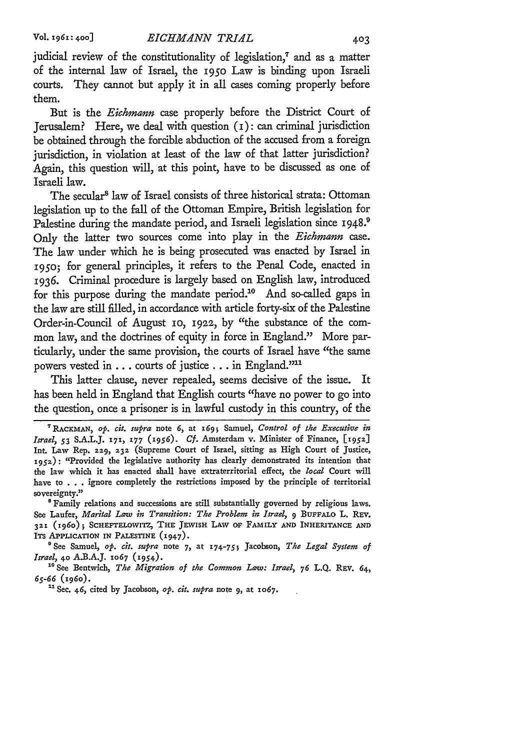judicial review of the constitutionality of legislation,<sup>7</sup> and as a matter of the internal law of Israel, the 195o Law is binding upon Israeli courts. They cannot but apply it in all cases coming properly before them.

But is the *Eichmann* case properly before the District Court of Jerusalem? Here, we deal with question  $(1)$ : can criminal jurisdiction be obtained through the forcible abduction of the accused from a foreign jurisdiction, in violation at least of the law of that latter jurisdiction? Again, this question will, at this point, have to be discussed as one of Israeli law.

The secular<sup>8</sup> law of Israel consists of three historical strata: Ottoman legislation up to the fall of the Ottoman Empire, British legislation for Palestine during the mandate period, and Israeli legislation since 1948.<sup>9</sup> Only the latter two sources come into play in the *Eichmann case.* The law under which he is being prosecuted was enacted by Israel in 1950; for general principles, it refers to the Penal Code, enacted in 1936. Criminal procedure is largely based on English law, introduced for this purpose during the mandate period.<sup>10</sup> And so-called gaps in the law are still filled, in accordance with article forty-six of the Palestine Order-in-Council of August **10,** 1922, by "the substance of the common law, and the doctrines of equity in force in England." More particularly, under the same provision, the courts of Israel have "the same powers vested in ... courts of justice ... in England."<sup>11</sup>

This latter clause, never repealed, seems decisive of the issue. It has been held in England that English courts "have no power to go into the question, once a prisoner is in lawful custody in this country, of the

'Family relations and successions are still substantially governed by religious laws. See Laufer, *Marital Law in Transition: The Problem in Israel,* **9** BUFFALO L. **REV. 32z (196o);** SCHEFTELoWITz, **THE** JEWISH **LAW Op FAMILY AND** INHERITANCE **AND** ITS APPLICATION IN PALESTINE (1947).

'See Samuel, **op.** *cit. supra* note 7, at **174-75;** Jacobson, *The Legal System of Israel,* **4o** A.B.AJ. io67 (i954).

**"0** See Bentwich, *The Migration of the Common Law: Israel,* 76 L.Q. REV. 64, *65-66* **(196o).**

**"** Sec. 46, cited by Jacobson, *op. cit. supra* note 9, at **io67.**

<sup>&</sup>quot;RACKMAN, *op. cit. supra* note 6, at 1695 Samuel, *Control of the Executiue in Israel,* **53** S.A.L.J. 171, **177** *(1956). Cf.* Amsterdam v. Minister of Finance, **[x952]** Int. Law Rep. **229,** *232* (Supreme Court of Israel, sitting as High Court of Justice, **1952):** "Provided the legislative authority has clearly demonstrated its intention that the law which it has enacted shall have extraterritorial effect, the *local* Court will have to . . **.**ignore completely the restrictions imposed **by** the principle of territorial sovereignty."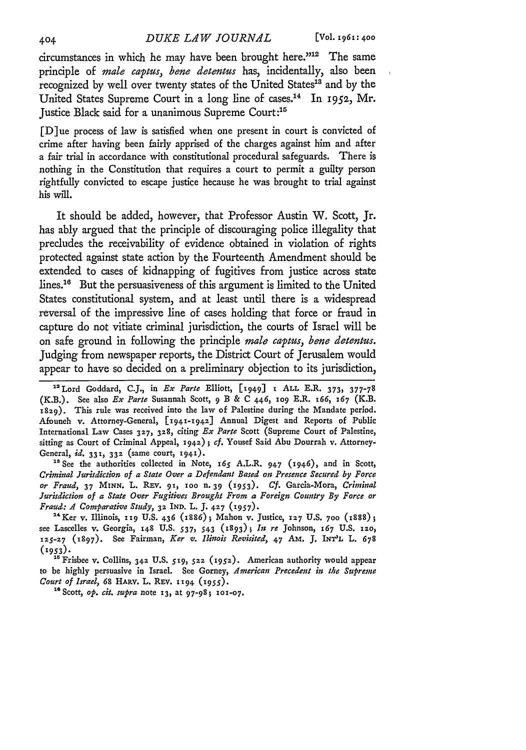circumstances in which he may have been brought here. $m^2$  The same principle of *male captus, bene detentus* has, incidentally, also been recognized by well over twenty states of the United States<sup>13</sup> and by the United States Supreme Court in a long line of cases.<sup>14</sup> In 1952, Mr. Justice Black said for a unanimous Supreme Court:<sup>15</sup>

[D]ue process of law is satisfied when one present in court is convicted of crime after having been fairly apprised of the charges against him and after a fair trial in accordance with constitutional procedural safeguards. There is nothing in the Constitution that requires a court to permit a guilty person rightfully convicted to escape justice because he was brought to trial against his will.

It should be added, however, that Professor Austin W. Scott, Jr. has ably argued that the principle of discouraging police illegality that precludes the receivability of evidence obtained in violation of rights protected against state action by the Fourteenth Amendment should be extended to cases of kidnapping of fugitives from justice across state lines.<sup>16</sup> But the persuasiveness of this argument is limited to the United States constitutional system, and at least until there is a widespread reversal of the impressive line of cases holding that force or fraud in capture do not vitiate criminal jurisdiction, the courts of Israel will be on safe ground in following the principle *male captus, bone detentus.* Judging from newspaper reports, the District Court of Jerusalem would appear to have so decided on a preliminary objection to its jurisdiction,

<sup>18</sup> See the authorities collected in Note,  $165$  A.L.R. 947 (1946), and in Scott, *Criminal Jurisdiction of a State Over a Defendant Based on Presence Secured by Force or Fraud, 37* **MINN.** L. R.v. **<sup>91</sup> , oo l.** 39 (1953). *Cf.* Garcia-Mora, *Criminal Jurisdiction of a State Over Fugitives Brought From a Foreign Country By Force or Fraud: A Comparative Study,* 3z **IND. L. J. 427 (x957).**

"Ker v. Illinois, **119** U.S. 436 (1886) **;** Mahon v. Justice, **127 U.S. 700** (1888) **3** see Lascelles v. Georgia, **148 U.S.** 537, 543 (1893) **;** *In re* Johnson, 167 U.S. **<sup>1201</sup> 125-27** (1897). See Fairman, *Ker v. Ilinois Revisited,* 47 **AM.** *J.* **INT'L** L. **678**  $(1953).$ 

**<sup>15</sup>**Frisbee v. Collins, **34z** U.S. **519, 522** (1952). American authority would appear to be highly persuasive in Israel. See Gorney, *American Precedent in the Supreme Court of Israel, 68* **HARv.** L. **REv. 1194 (1955).**

"Scott, *op. cit. supra* note 13, at 97-98; **101-07.**

<sup>12</sup>Lord Goddard, **C.J.,** in *Ex Parte* Elliott, **[1949] 1 ALL** E.R. 373, 377-78 (K.B.). See also *Ex Parte* Susannah Scott, **9** B & C 446, **io9** E.R. *x66,* 167 (K.B. **1829).** This rule was received into the law of Palestine during the Mandate period. Afouneh v. Attorney-General, **[941-1942]** Annual Digest and Reports of Public International Law Cases **327, 328,** citing *Ex Parte* Scott (Supreme Court of Palestine, sitting as Court of Criminal Appeal, **1942) ;** *cf.* Yousef Said Abu Dourrah v. Attorney-General, *id.* **331, 332** (same court, **x941).**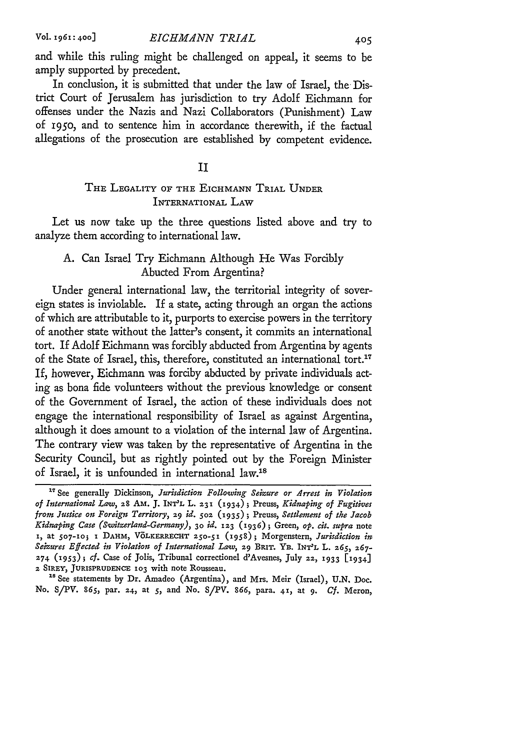and while this ruling might be challenged on appeal, it seems to be amply supported by precedent.

In conclusion, it is submitted that under the law of Israel, the District Court of Jerusalem has jurisdiction to try Adolf Eichmann for offenses under the Nazis and Nazi Collaborators (Punishment) Law of 195o, and to sentence him in accordance therewith, if the factual allegations of the prosecution are established by competent evidence.

#### II

#### THE LEGALITY OF THE EICHMANN TRIAL **UNDER** INTERNATIONAL LAW

Let us now take up the three questions listed above and try to analyze them according to international law.

### A. Can Israel Try Eichmann Although He Was Forcibly Abucted From Argentina?

Under general international law, the territorial integrity of sovereign states is inviolable. If a state, acting through an organ the actions of which are attributable to it, purports to exercise powers in the territory of another state without the latter's consent, it commits an international tort. If Adolf Eichmann was forcibly abducted from Argentina by agents of the State of Israel, this, therefore, constituted an international tort.<sup>17</sup> If, however, Eichmann was forciby abducted by private individuals acting as bona fide volunteers without the previous knowledge or consent of the Government of Israel, the action of these individuals does not engage the international responsibility of Israel as against Argentina, although it does amount to a violation of the internal law of Argentina. The contrary view was taken by the representative of Argentina in the Security Council, but as rightly pointed out by the Foreign Minister of Israel, it is unfounded in international law.<sup>18</sup>

<sup>18</sup> See statements by Dr. Amadeo (Argentina), and Mrs. Meir (Israel), U.N. Doc. No. S/PV. **865,** par. 24, at **5, and** No. **S/PV. 866,** para. **41,** at **9.** *Cf.* Meron,

**<sup>&</sup>quot;** See generally Dickinson, *Jurisdiction Following Seizure or Arrest in Violation of International Law,* z8 **AM. J. INT'L L. 231** (1934) **5** Preuss, *Kidnaping of Fugitives from Justice on Foreign Territory,* **29** *id.* **502 (1935) 5** Preuss, *Settlement of the Jacob Kidnaping Case (Ssitzerland-Germany), 30 id.* **123 (1936);** Green, *op. cit. supra* note x, at **507-10i** i DAHM, V6LKRRECHT 250-5I (1958); Morgenstern, *Jurisdiction in Seizures Effected in Violation of International Law,* **29 BRIT. YB. INTL** L. **265, 267- 274 (1953) 5** *cf.* Case of Jolis, Tribunal correctionel d'Avesnes, July **22, 1933 [934.] 2 SIREY, JURISPRUDENCE 103** with note Rousseau.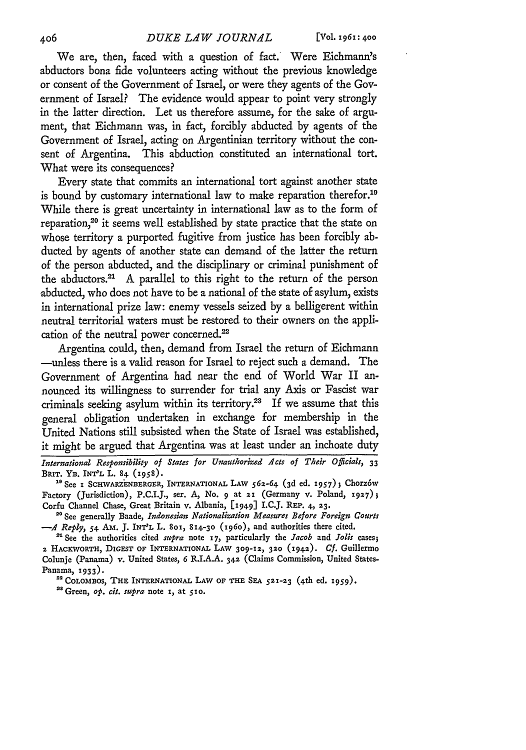We are, then, faced with a question of fact. Were Eichmann's abductors bona fide volunteers acting without the previous knowledge or consent of the Government of Israel, or were they agents of the Government of Israel? The evidence would appear to point very strongly in the latter direction. Let us therefore assume, for the sake of argument, that Eichmann was, in fact, forcibly abducted **by** agents of the Government of Israel, acting on Argentinian territory without the consent of Argentina. This abduction constituted an international tort. What were its consequences?

Every state that commits an international tort against another state is bound by customary international law to make reparation therefor.<sup>19</sup> While there is great uncertainty in international law as to the form of reparation,20 it seems well established **by** state practice that the state on whose territory a purported fugitive from justice has been forcibly abducted **by** agents of another state can demand of the latter the return of the person abducted, and the disciplinary or criminal punishment of the abductors.<sup>21</sup> A parallel to this right to the return of the person abducted, who does not have to be a national of the state of asylum, exists in international prize law: enemy vessels seized **by** a belligerent within neutral territorial waters must be restored to their owners on the application of the neutral power concerned.<sup>22</sup>

Argentina could, then, demand from Israel the return of Eichmann -unless there is a valid reason for Israel to reject such a demand. The Government of Argentina had near the end of World War II announced its willingness to surrender for trial any Axis or Fascist war criminals seeking asylum within its territory.<sup>23</sup> If we assume that this general obligation undertaken in exchange for membership in the United Nations still subsisted when the State of Israel was established, it might be argued that Argentina was at least under an inchoate duty

*International Responsibility of States for Unauthorized Actts of Their Officials, 33* BRIT. YB. INT'L L. 84 (1958).

**1See SCHWARI NBERGER, INTERNATIONAL LAW** *562-64* **(3d** ed. *1957)* **i Chorz6w** Factory (Jurisdiction), **P.C.I.J.,** ser. **A,** No. **9** at **21 (Germany v. Poland, 1927);** Corfu Channel Chase, Great Britain v. Albania, [1949] I.C.J. REP. 4, 23.

**'0** See generally Baade, *Indonesian Nationalization Measures Before Foreign Courts -A Reply,* 54 *Am.* **J. INT'L** L. **8o, 814-30 (196o),** and authorities there cited.

**'** See the authorities cited *supra* note *17,* particularly the *Jacob* and *Jolis* casesi **2 HACKWORTH,** DIGEST **OF INTERNATIONAL LAW 309-12, 320 (1942).** *Cf.* Guillermo **Colunje** (Panama) **v. United** States, **6** R.I.A.A. **342** (Claims Commission, United **States-**Panama, **1933).**

<sup>22</sup> COLOMBOS, THE INTERNATIONAL LAW OF THE SEA 521-23 (4th ed. 1959).

**"Green,** *op. cit. supra* **note x,** at **510.**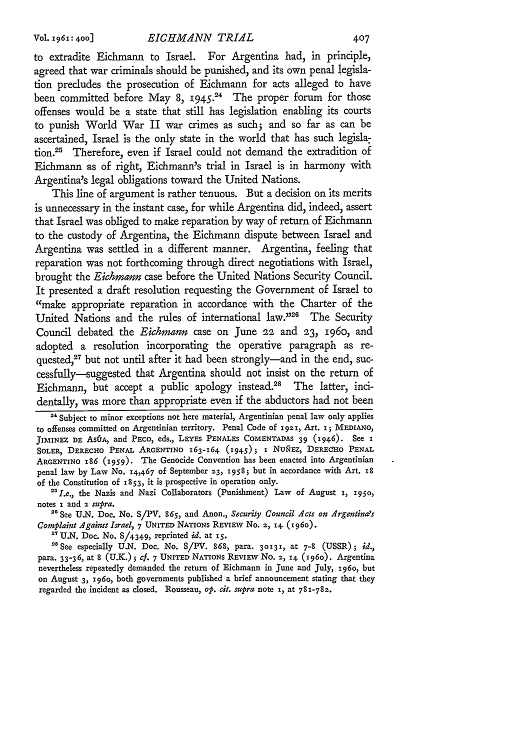to extradite Eichmann to Israel. For Argentina had, in principle, agreed that war criminals should be punished, and its own penal legislation precludes the prosecution of Eichmann for acts alleged to have been committed before May 8,  $1945.^{24}$  The proper forum for those offenses would be a state that still has legislation enabling its courts to punish World War II war crimes as such; and so far as can be ascertained, Israel is the only state in the world that has such legislation.25 Therefore, even if Israel could not demand the extradition of Eichmann as of right, Eichmann's trial in Israel is in harmony with Argentina's legal obligations toward the United Nations.

This line of argument is rather tenuous. But a decision on its merits is unnecessary in the instant case, for while Argentina did, indeed, assert that Israel was obliged to make reparation by way of return of Eichmann to the custody of Argentina, the Eichmann dispute between Israel and Argentina was settled in a different manner. Argentina, feeling that reparation was not forthcoming through direct negotiations with Israel, brought the *Eichmann* case before the United Nations Security Council. It presented a draft resolution requesting the Government of Israel to "make appropriate reparation in accordance with the Charter of the United Nations and the rules of international law."26 The Security Council debated the *Eichmann* case on June 22 and 23, 1960, and adopted a resolution incorporating the operative paragraph as requested,<sup>27</sup> but not until after it had been strongly—and in the end, successfully-suggested that Argentina should not insist on the return of Eichmann, but accept a public apology instead.28 The latter, incidentally, was more than appropriate even if the abductors had not been

**"o** See U.N. Doc. No. S/PV. *865,* and Anon., *Security Council Acts on Argentina?s Complaint Against Israel, 7* UNITED NATIONS REVIEW No. 2, 14 (1960). <sup>27</sup> U.N. Doc. No. S/4349, reprinted *id.* at 15.

"See especially U.N. Doc. No. S/PV. 868, para. **30131,** at 7-8 (USSR); *id.,* para. 33-36, at 8 (U.K.); cf. 7 UNITED NATIONS REVIEW No. 2, 14 (1960). Argentina nevertheless repeatedly demanded the return of Eichmann in June and July, **196o,** but on August 3, *196o,* both governments published a brief announcement stating that they regarded the incident as dosed. Rousseau, *op. cit. supra* note **i,** at **781-782.**

<sup>&</sup>lt;sup>24</sup> Subject to minor exceptions not here material, Argentinian penal law only applies to offenses committed on Argentinian territory. Penal Code of 19zi, Art. **1;** MEDIANO, JIMINEZ **DE** ASUA, and PECO, eds., LEYES PENALES COMENTADAS **39** (1946). See **E** SOLER, DERECHO PENAL ARGENTINO 163-164 (1945); I NUÑEZ, DERECHO PENAL ARGENTINO 186 **(x959).** The Genocide Convention has been enacted into Argentinian penal law **by** Law No. 14,467 of September **23,** 19585 but in accordance with Art. 18 of the Constitution of 1853, it is prospective in operation only.

*<sup>&</sup>quot;2I.e.,* the Nazis and Nazi Collaborators (Punishment) Law of August **i, 1950,** notes **i** and *z supra.*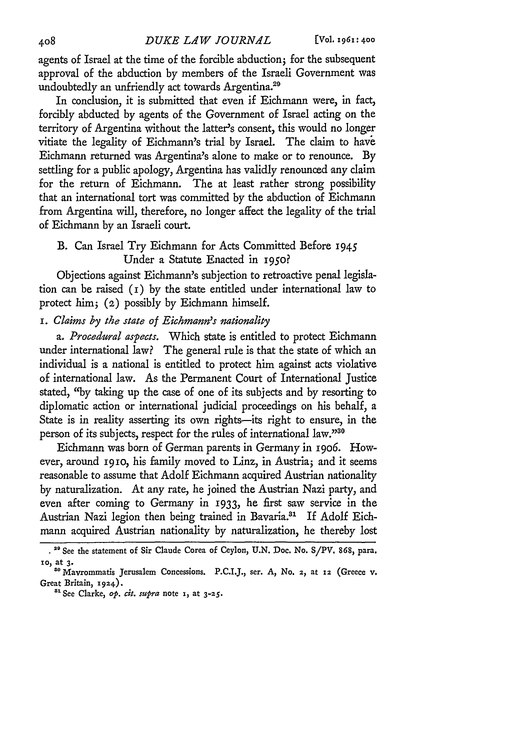agents of Israel at the time of the forcible abduction; for the subsequent approval of the abduction by members of the Israeli Government was undoubtedly an unfriendly act towards Argentina.<sup>29</sup>

In conclusion, it is submitted that even if Eichmann were, in fact, forcibly abducted by agents of the Government of Israel acting on the territory of Argentina without the latter's consent, this would no longer vitiate the legality of Eichmann's trial by Israel. The claim to have Eichmann returned was Argentina's alone to make or to renounce. By settling for a public apology, Argentina has validly renounced any claim for the return of Eichmann. The at least rather strong possibility that an international tort was committed by the abduction of Eichmann from Argentina will, therefore, no longer affect the legality of the trial of Eichmann by an Israeli court.

### B. Can Israel Try Eichmann for Acts Committed Before I945 Under a Statute Enacted in **1950?**

Objections against Eichmann's subjection to retroactive penal legislation can be raised (i) by the state entitled under international law to protect him; (2) possibly by Eichmann himself.

#### i. *Claims by the state of Eichmann's nationality*

*a. Procedural aspects.* Which state is entitled to protect Eichmann under international law? The general rule is that the state of which an individual is a national is entitled to protect him against acts violative of international law. As the Permanent Court of International Justice stated, "by taking up the case of one of its subjects and by resorting to diplomatic action or international judicial proceedings on his behalf, a State is in reality asserting its own rights-its right to ensure, in the person of its subjects, respect for the rules of international law."<sup>30</sup>

Eichmann was born of German parents in Germany in 19o6. However, around 191o, his family moved to Linz, in Austria; and it seems reasonable to assume that Adolf Eichmann acquired Austrian nationality by naturalization. At any rate, he joined the Austrian Nazi party, and even after coming to Germany in 1933, he first saw service in the Austrian Nazi legion then being trained in Bavaria.31 If Adolf Eichmann acquired Austrian nationality by naturalization, he thereby lost

<sup>.&</sup>lt;sup>29</sup> See the statement of Sir Claude Corea of Ceylon, U.N. Doc. No. S/PV. 868, para. **1o,** at **3-**

**<sup>&</sup>quot;0** Mavrommatis Jerusalem Concessions. P.C.I.J., ser. **A, No. 2,** at **12** (Greece v. Great Britain, 1924).

**<sup>&#</sup>x27;** See Clarke, op. **cit.** *supra* note **i,** at **3-25.**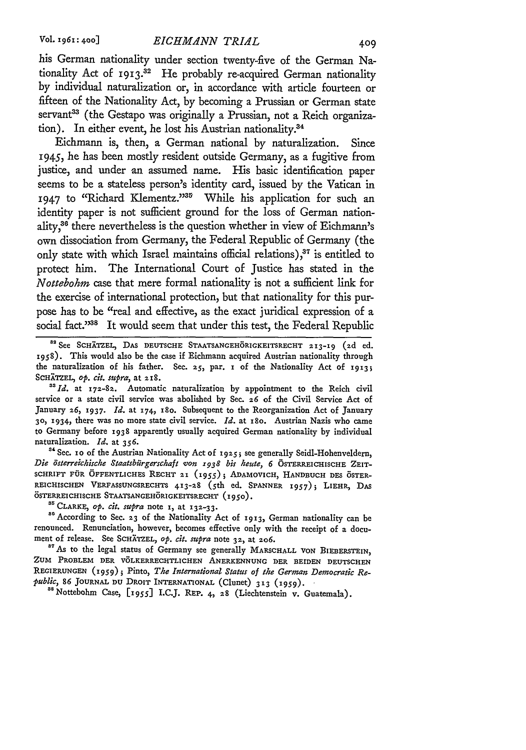his German nationality under section twenty-five of the German Nationality Act of **I9r3.32** He probably re-acquired German nationality by individual naturalization or, in accordance with article fourteen or fifteen of the Nationality Act, by becoming a Prussian or German state servant<sup>33</sup> (the Gestapo was originally a Prussian, not a Reich organization). In either event, he lost his Austrian nationality.34

Eichmann is, then, a German national by naturalization. Since **1945,** he has been mostly resident outside Germany, as a fugitive from justice, and under an assumed name. His basic identification paper seems to be a stateless person's identity card, issued by the Vatican in 1947 to "Richard Klementz."<sup>35</sup> While his application for such an identity paper is not sufficient ground for the loss of German nationality,<sup>36</sup> there nevertheless is the question whether in view of Eichmann's own dissociation from Germany, the Federal Republic of Germany (the only state with which Israel maintains official relations), $37$  is entitled to protect him. The International Court of Justice has stated in the *Nottebohm* case that mere formal nationality is not a sufficient link for the exercise of international protection, but that nationality for this purpose has to be "real and effective, as the exact juridical expression of a social fact."<sup>38</sup> It would seem that under this test, the Federal Republic

<sup>82</sup>**See** SCHXTZEL, **DAS DEUTSCHE STAATSANGEH6RIGKEITSRECHT 213-19 (2d** ed. **1958).** This would also **be** the case if Eichmann acquired Austrian nationality through the naturalization of his father. Sec. *a5,* par. x of the Nationality Act of **19135** SCHÄTZEL,  $op.$  *cit. supra*, at 218.

*"Id.* at **17z-82.** Automatic naturalization **by** appointment to the Reich civil service or a state civil service was abolished **by** Sec. **z6** of the Civil Service Act of January **26, 1937.** *Id.* at **174, i8o.** Subsequent to the Reorganization Act of January **30, 1934,** there was no more state civil service. *Id.* at i8o. Austrian Nazis who came to Germany before **1938** apparently usually acquired German nationality **by** individual naturalization. *Id.* at *356.*

**0'** Sec. **1o** of the Austrian Nationality Act of *19z 55* see generally Seidl-Hohenveldern, *Die 6sterreichische taatsbfirgerschaft von 1938 bis heute,* **6** 6STERREICHISCHE ZEIT-SCHRIFT FÜR ÖFFENTLICHES RECHT 21 (1955); ADAMOVICH, HANDBUCH DES ÖSTER-**REICHISCHEN VERFASSUNGSRECHTS** 413-z8 (sth **ed. SPANNER 1957) ;** LIEHR, **DAS** 6STERREICHISCHE STAATSANGEH6R1GKEITSRECIT *(1950).*

**" CLARKE,** *op. Cit. supra* **note i,** at **132-33.** <sup>8</sup> According to Sec. **23 of** the Nationality Act **of 1913,** German nationality can be renounced. Renunciation, however, becomes effective only with the receipt of a document of release. See SCHATZEL, *op. cit. supra* note 32, at 206. <sup>87</sup> As to the legal status of Germany see generally MARSCHALL VON BIEBERSTEIN,

**ZUM** PROBLEM **DER** V6LKERRECHTLICHEN **ANERKENNUNC DER** BEIDEN **DEUTSCHEN REGIERUNGEN (iqs9);** Pinto, *The International Status of the German Democratic Republic, 86* **JOURNAL DU** DROIT INTERNATIONAL (Clunet) **313 (1959).** "Nottebohm Case, **[i955]** I.C.J. **REP.** 4, **z8** (Liechtenstein v. Guatemala).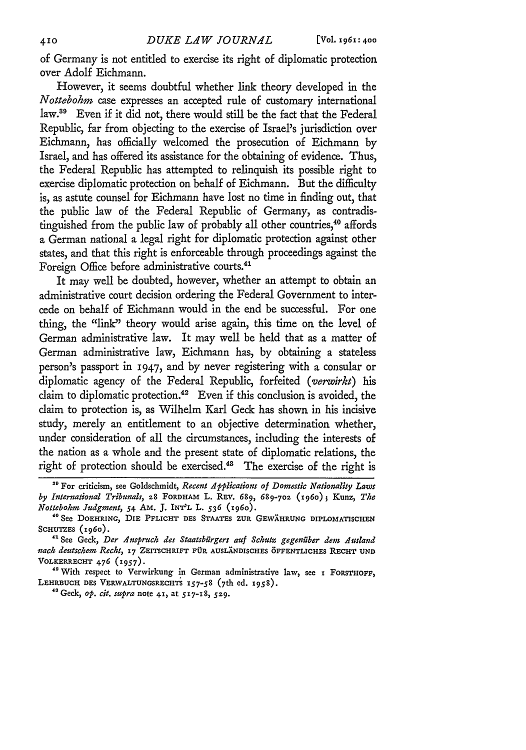of Germany is not entitled to exercise its right of diplomatic protection over Adolf Eichmann.

However, it seems doubtful whether link theory developed in the *Nottebohm* case expresses an accepted rule of customary international law.39 Even if it did not, there would still be the fact that the Federal Republic, far from objecting to the exercise of Israel's jurisdiction over Eichmann, has officially welcomed the prosecution of Eichmann by Israel, and has offered its assistance for the obtaining of evidence. Thus, the Federal Republic has attempted to relinquish its possible right to exercise diplomatic protection on behalf of Eichmann. But the difficulty is, as astute counsel for Eichmann have lost no time in finding out, that the public law of the Federal Republic of Germany, as contradistinguished from the public law of probably all other countries,<sup>40</sup> affords a German national a legal right for diplomatic protection against other states, and that this right is enforceable through proceedings against the Foreign Office before administrative courts.<sup>41</sup>

It may well be doubted, however, whether an attempt to obtain an administrative court decision ordering the Federal Government to intercede on behalf of Eichmann would in the end be successful. For one thing, the "link" theory would arise again, this time on the level of German administrative law. It may well be held that as a matter of German administrative law, Eichmann has, by obtaining a stateless person's passport in 1947, and by never registering with a consular or diplomatic agency of the Federal Republic, forfeited *(verwirkt)* his claim to diplomatic protection.<sup>42</sup> Even if this conclusion is avoided, the claim to protection is, as Wilhelm Karl Geck has shown in his incisive study, merely an entitlement to an objective determination whether, under consideration of all the circumstances, including the interests of the nation as a whole and the present state of diplomatic relations, the right of protection should be exercised.<sup>48</sup> The exercise of the right is

**For** criticism, see Goldschmidt, *Recent Applications of Domestic Nationality Laws by International Tribunals,* **28** FORDHAM **L. REv. 689, 689-702 (x960); Kunz,** *The Nottebohm Judgment,* 54 Am. J. **INT'L** *L. 536 (-96o).*

<sup>&</sup>lt;sup>40</sup> See DOEHRING, DIE PFLICHT DES STAATES ZUR GEWÄHRUNG DIPLOMATISCHEN  $S$ CHUTZES (1960).

**<sup>&</sup>quot;'** See **Geck,** *Der Anspruch des Staatsbilrgers auf Schutz gegenriber den* Ausland *nach deutschem Recht,* 1 7 ZEITSCHRIFT **FOR AUSLANDISCHES OFFENTLICHES RECHT UND VOLKEPRECHT** *476* **(x957).**

<sup>&</sup>lt;sup>42</sup> With respect to Verwirkung in German administrative law, see x FORSTHOFF, LEHRBUCH DES VERWALTUNGSRECHTS 157-58 (7th ed. 1958).

**<sup>&</sup>quot; <sup>3</sup>** Geck, *op. cit. supra* note **41,** at **517-18, 529.**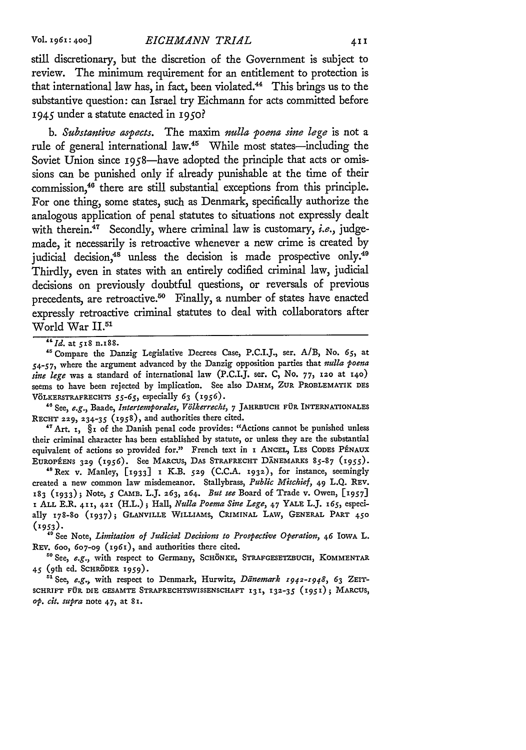still discretionary, but the discretion of the Government is subject to review. The minimum requirement for an entitlement to protection is that international law has, in fact, been violated.<sup>44</sup> This brings us to the substantive question: can Israel try Eichmann for acts committed before 1945 under a statute enacted in 1950?

*b. Substantive aspects.* The maxim nulla *poena sine lege* is not a rule of general international law.<sup>45</sup> While most states—including the Soviet Union since 1958—have adopted the principle that acts or omissions can be punished only if already punishable at the time of their commission,<sup>46</sup> there are still substantial exceptions from this principle. For one thing, some states, such as Denmark, specifically authorize the analogous application of penal statutes to situations not expressly dealt with therein.<sup>47</sup> Secondly, where criminal law is customary, *i.e.*, judgemade, it necessarily is retroactive whenever a new crime is created by judicial decision,<sup>48</sup> unless the decision is made prospective only.<sup>49</sup> Thirdly, even in states with an entirely codified criminal law, judicial decisions on previously doubtful questions, or reversals of previous precedents, are retroactive.<sup>50</sup> Finally, a number of states have enacted expressly retroactive criminal statutes to deal with collaborators after World War II.<sup>51</sup>

 $\overline{44}$ *Id.* at 518 n.188.

"'Compare the Danzig Legislative Decrees Case, P.C.I.J., ser. A/B, No. **65,** at 54-57, where the argument advanced by the Danzig opposition parties that *nulla poena sine lege* was a standard of international law **(P.C.I.J.** ser. **C,** No. **77, 12o** at **140)** seems to have been rejected by implication. See also DAHM, **ZUR PROBLEMATIK DES VOLKERSTRAFRECHTS 55-65,** especially 63 **(1956).**

4' See, *e.g.,* Baade, *Intertemporales, V6lkerrecht,* 7 **JAHRBUCH FUR INTERNATIONALES RECHT 229,** 234-35 (1958), and authorities there cited.

'7Art. **I, §x** of the Danish penal code provides: "Actions cannot be punished unless their criminal character has been established by statute, or unless they are the substantial equivalent of actions so provided for." French text in I ANCEL, LES CODES PÉNAUX EUROPÉENS 329 (1956). See MARCUS, DAS STRAFRECHT DÄNEMARKS 85-87 (1955).

"Rex v. Manley, **[1933] 1** K.B. **529 (C.C.A. 1932),** for instance, seemingly created a new common law misdemeanor. Stallybrass, *Public Mischief,* 49 L.Q. **REV. x83 (x933) i** Note, **5 CAMB.** L.J. **263, 264.** *But see* Board of Trade v. Owen, **[i957] i ALL** E.R. **411, 421** (H.L.) i Hall, *Nulla Poema Sine Lege,* 47 YALE L.J. **165,** especially 178-80 (1937); GLANVILLE WILLIAMS, CRIMINAL LAW, GENERAL PART 450 **(1953).**

*"* See Note, *Limitation of Judicial Decisions to Prospective Operation, 46* IowA L. **REV. 6oo, 607-09 (196i),** and authorities there cited.

**"** See, *e.g.,* with respect to Germany, **SCH6NKE, STRAFGEsETBUcH,** KOMMENTAR 45 (9 th **ed.** SCHRODER **1959).**

**"** See, *e.g..* with respect to Denmark, Hurwitz, *Ddnemark* x942-1948, *63* ZEIT-**SCHRIFT FUR DIE GESAMTE STRAFRECHTSWISSENSCHAFT 131, 132-35** (951) **5 MARCUS,** *op. cit. supra* note 47, at **81.**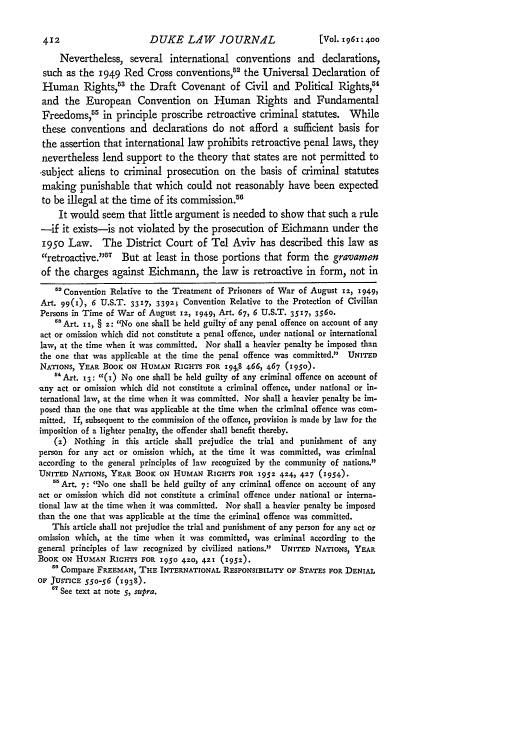Nevertheless, several international conventions and declarations, such as the 1949 Red Cross conventions,<sup>52</sup> the Universal Declaration of Human Rights,<sup>53</sup> the Draft Covenant of Civil and Political Rights,<sup>54</sup> and the European Convention on Human Rights and Fundamental Freedoms,55 in principle proscribe retroactive criminal statutes. While these conventions and declarations do not afford a sufficient basis for the assertion that international law prohibits retroactive penal laws, they nevertheless lend support to the theory that states are not permitted to .subject aliens to criminal prosecution on the basis of criminal statutes making punishable that which could not reasonably have been expected to be illegal at the time of its commission.

It would seem that little argument is needed to show that such a rule -if it exists-is not violated by the prosecution of Eichmann under the I95O Law. The District Court of Tel Aviv has described this law as "retroactive.1157 But at least in those portions that form the *gravamen* of the charges against Eichmann, the law is retroactive in form, not in

**"** Convention Relative to the Treatment of Prisoners of War of August 12, **1949,** Art. 99(1), 6 U.S.T. 3317, 3392; Convention Relative to the Protection of Civilian Persons in Time of War of August **iz,** 1949, Art. *67, 6* U.S.T. **3517,** 356o.

<sup>53</sup> Art. 11, § 2: "No one shall be held guilty of any penal offence on account of any act or omission which did not constitute a penal offence, under national or international law, at the time when it was committed. Nor shall a heavier penalty be imposed than the one that was applicable at the time the penal offence was committed." **UNITED** NATIONS, YEAR BOOK ON HUMAN RIGHTS FOR 1948 466, 467 (1950).

 $54$  Art.  $13$ :  $(1)$  No one shall be held guilty of any criminal offence on account of any act or omission which did not constitute a criminal offence, under national or international law, at the time when it was committed. Nor shall a heavier penalty be imposed than the one that was applicable at the time when the criminal offence was committed. If, subsequent to the commission of the offence, provision is made by law for the imposition of a lighter penalty, the offender shall benefit thereby.

(2) Nothing in this article shall prejudice the trial and punishment of any person for any act or omission which, at the time it was committed, was criminal according to the general principles of law recognized by the community of nations." **UNITED NATIONS,** YEAR BOOK **ON HUMAN RIGHTS FOR 1952 4241 427 (1954).**

<sup>55</sup> Art. 7: "No one shall be held guilty of any criminal offence on account of any act or omission which did not constitute a criminal offence under national or international law at the time when it was committed. Nor shall a heavier penalty be imposed than the one that was applicable at the time the criminal offence was committed.

This article shall not prejudice the trial and punishment of any person for any act or omission which, at the time when it was committed, was criminal according to the general principles of law recognized **by** civilized nations." **UNITED NATIONS,** YEAR BOOK **ON HUMAN** RIGHTS FOR **1950 420, 421 (195.).**

**56** Compare **FREEMAN,** THE **INTERNATIONAL RESPONSIBILITY OF** STATES **FOR DENIAL OF JUSTICE** *55o-56* **(1938).**

<sup>57</sup> See text at note 5, supra.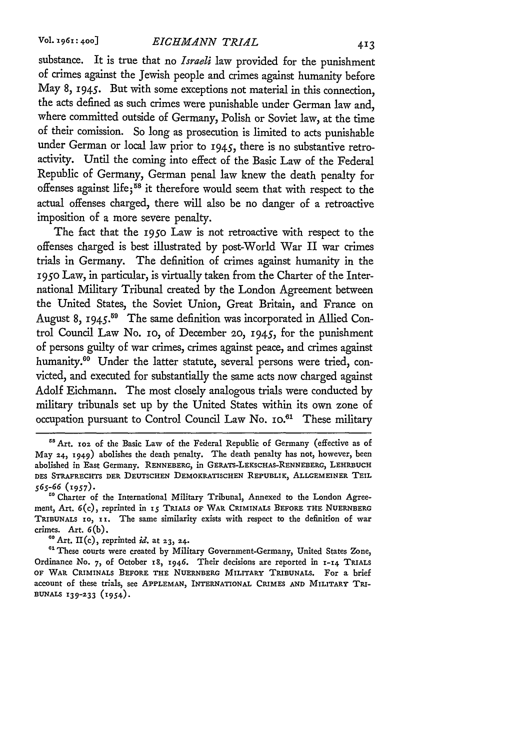substance. It is true that no *Israeli* law provided for the punishment of crimes against the Jewish people and crimes against humanity before May **8,** 1945. But with some exceptions not material in this connection, the acts defined as such crimes were punishable under German law and, where committed outside of Germany, Polish or Soviet law, at the time of their comission. So long as prosecution is limited to acts punishable under German or local law prior to 1945, there is no substantive retroactivity. Until the coming into effect of the Basic Law of the Federal Republic of Germany, German penal law knew the death penalty for offenses against life;<sup>58</sup> it therefore would seem that with respect to the actual offenses charged, there will also be no danger of a retroactive imposition of a more severe penalty.

The fact that the 195o Law is not retroactive with respect to the offenses charged is best illustrated by post-World War II war crimes trials in Germany. The definition of crimes against humanity in the 195o Law, in particular, is virtually taken from the Charter of the International Military Tribunal created by the London Agreement between the United States, the Soviet Union, Great Britain, and France on August 8, 1945.<sup>59</sup> The same definition was incorporated in Allied Control Council Law No. IO, of December **20,** 1945, for the punishment of persons guilty of war crimes, crimes against peace, and crimes against humanity.<sup>60</sup> Under the latter statute, several persons were tried, convicted, and executed for substantially the same acts now charged against Adolf Eichmann. The most closely analogous trials were conducted by military tribunals set up by the United States within its own zone of occupation pursuant to Control Council Law No. 10.<sup>61</sup> These military

<sup>&</sup>lt;sup>88</sup> Art. **Ioa** of the Basic Law of the Federal Republic of Germany (effective as of May 24, 1949) abolishes the death penalty. The death penalty has not, however, been abolished in East Germany. RENNEBERG, in GERATS-LEKSCHAS-RENNEBERG, LEHRBUCH **DES STRAFRECHTS** DER DEUTSCHEN DEMOKRATISCHEN **REPUBLIK, ALLGEMEINER** TEIL **565-66** *(1957).*

**<sup>&</sup>quot;0** Charter of the International Military Tribunal, Annexed to the London Agreement, Art. 6(c), reprinted in **15** TRIALS **OF WAR CRIMINALS BEFORE THE NUERNBERG TRIBUNALS 1O, 1i.** The same similarity exists with respect to the definition of war crimes. Art. **6(b). <sup>00</sup>**Art. 11(c), reprinted **id.** at **23, 24.**

<sup>&</sup>lt;sup>61</sup> These courts were created by Military Government-Germany, United States Zone, Ordinance No. *7,* of October **iS,** 1946. Their decisions are reported in 1-14 **TRIALS OF** WAR **CRIMINALS BEFORE THE NUERNBERG MILITARY TRIBUNALS. For a** brief account **of these** trials, see **APPLEMAN, INTERNATIONAL** CRIMES **AND MILITARY** TRI-BUNALS 139-233 (1954).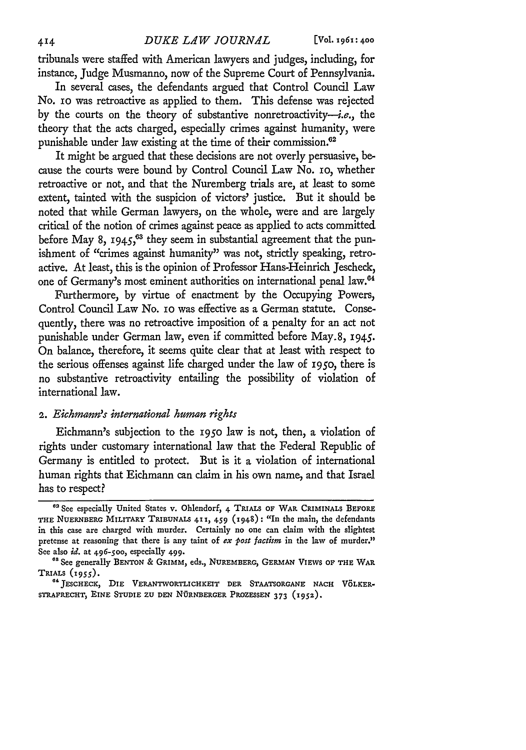tribunals were staffed with American lawyers and judges, including, for instance, Judge Musmanno, now of the Supreme Court of Pennsylvania.

In several cases, the defendants argued that Control Council Law No. io was retroactive as applied to them. This defense was rejected by the courts on the theory of substantive nonretroactivity-i.e., the theory that the acts charged, especially crimes against humanity, were punishable under law existing at the time of their commission.<sup>62</sup>

It might be argued that these decisions are not overly persuasive, because the courts were bound by Control Council Law No. **1O,** whether retroactive or not, and that the Nuremberg trials are, at least to some extent, tainted with the suspicion of victors' justice. But it should be noted that while German lawyers, on the whole, were and are largely critical of the notion of crimes against peace as applied to acts committed before May 8, 1945,<sup>63</sup> they seem in substantial agreement that the punishment of "crimes against humanity" was not, strictly speaking, retroactive. At least, this is the opinion of Professor Hans-Heinrich Jescheck, one of Germany's most eminent authorities on international penal law.<sup>64</sup>

Furthermore, by virtue of enactment by the Occupying Powers, Control Council Law No. **1O** was effective as a German statute. Consequently, there was no retroactive imposition of a penalty for an act not punishable under German law, even if committed before May.8, 1945. On balance, therefore, it seems quite clear that at least with respect to the serious offenses against life charged under the law of **i95o,** there is no substantive retroactivity entailing the possibility of violation of international law.

## *2. Eicm mran's international human rights*

Eichmann's subjection to the 1950 law is not, then, a violation of rights under customary international law that the Federal Republic of Germany is entitled to protect. But is it a violation of international human rights that Eichmann can claim in his own name, and that Israel has to respect?

<sup>&</sup>lt;sup>63</sup> See especially United States v. Ohlendorf, 4 TRIALS OF WAR CRIMINALS BEFORE THE NUERNBERG MILITARY TRIBUNALS **411,** 459 (1948): "In the main, the defendants in this case are charged with murder. Certainly no one can claim with the slightest pretense at reasoning that there is any taint of *ex post factism* in the law of murder." See also id. at **496-500,** especially 499.

**<sup>&</sup>quot;** See generally **BENTON &** GRIMM, eds., NUREMBERG, GERMAN **VIEWS OF THE** WAR TRIALS (1955).

**O'JESCHECK, DIE VERANTWORTLICHKEIT DER STAATSORGANE NACH VOLKER-**STRAFRECHT, EINE STUDIE ZU DEN NÜRNBERGER PROZESSEN 373 (1952).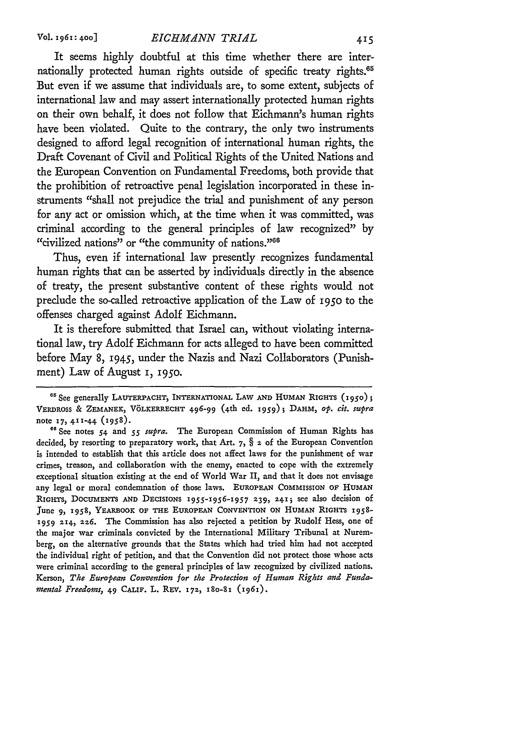It seems highly doubtful at this time whether there are internationally protected human rights outside of specific treaty rights.<sup>65</sup> But even if we assume that individuals are, to some extent, subjects of international law and may assert internationally protected human rights on their own behalf, it does not follow that Eichmann's human rights have been violated. Quite to the contrary, the only two instruments designed to afford legal recognition of international human rights, the Draft Covenant of Civil and Political Rights of the United Nations and the European Convention on Fundamental Freedoms, both provide that the prohibition of retroactive penal legislation incorporated in these instruments "shall not prejudice the trial and punishment of any person for any act or omission which, at the time when it was committed, was criminal according to the general principles of law recognized" by "civilized nations" or "the community of nations."<sup>66</sup>

Thus, even if international law presently recognizes fundamental human rights that can be asserted by individuals directly in the absence of treaty, the present substantive content of these rights would not preclude the so-called retroactive application of the Law of 1950 to the offenses charged against Adolf Eichmann.

It is therefore submitted that Israel can, without violating international law, try Adolf Eichmann for acts alleged to have been committed before May 8, 1945, under the Nazis and Nazi Collaborators (Punishment) Law of August I, 1950.

**<sup>&</sup>quot;** See generally LAUTERPACHT, INTERNATIONAL LAW AND HUMAN RIGHTS **(1950);** VERDROSS **&** ZEMANEK, VOLKERRECHT 496-99 ( <sup>4</sup> th ed. **1959)5** DAHM, *op. cit.* supra note **17, 411-44 (1958).**

<sup>&</sup>lt;sup>66</sup> See notes 54 and 55 *supra*. The European Commission of Human Rights has decided, **by** resorting to preparatory work, that Art. **7,** § **a** of the European Convention is intended to establish that this article does not affect laws for the punishment of war crimes, treason, and collaboration with the enemy, enacted to cope with the extremely exceptional situation existing at the end of World War II, and that it does not envisage any legal or moral condemnation of those laws. **EUROPEAN** COMMISSION **OF** HUMAN **RIGHTS,** DOCUMENTS **AND DEcISIoNs 1955-x956-1957 239, 24.1;** see also decision of June **9,** 1958, **YEARBOOK OF THE EUROPEAN CONVENTION ON HUMAN** RIGHTS **1958- 1959** 2I4, 216. The Commission has also rejected a petition by Rudolf Hess, one of the major war criminals convicted by the International Military Tribunal at Nuremberg, on the alternative grounds that the States which had tried him had not accepted the individual right of petition, and that the Convention did not protect those whose acts were criminal according to the general principles of law recognized by civilized nations. Kerson, *The European Convention for the Protection of Human Rights* and *Fundamental Freedoms,* 49 CALIF. L. REV. **172, 1So-S** (196i).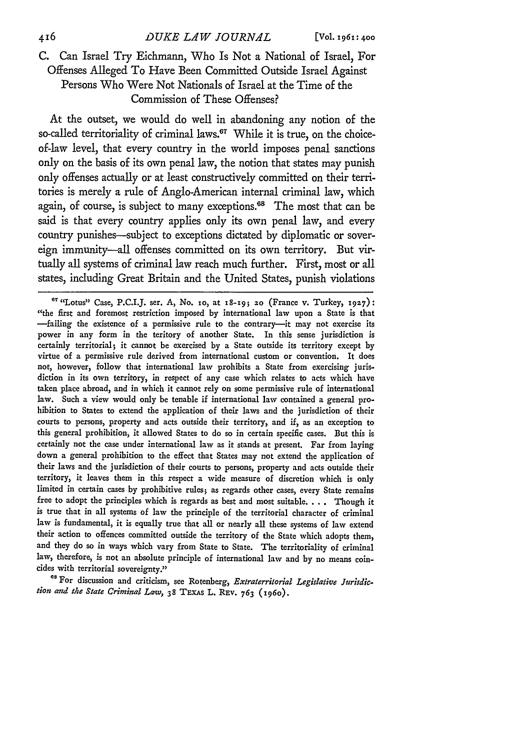## **C.** Can Israel Try Eichmann, Who Is Not a National of Israel, For Offenses Alleged To Have Been Committed Outside Israel Against Persons Who Were Not Nationals of Israel at the Time of the Commission of These Offenses?

At the outset, we would do well in abandoning any notion of the so-called territoriality of criminal laws. $67$  While it is true, on the choiceof-law level, that every country in the world imposes penal sanctions only on the basis of its own penal law, the notion that states may punish only offenses actually or at least constructively committed on their territories is merely a rule of Anglo-American internal criminal law, which again, of course, is subject to many exceptions.<sup>68</sup> The most that can be said is that every country applies only its own penal law, and every country punishes-subject to exceptions dictated by diplomatic or sovereign immunity-all offenses committed on its own territory. But virtually all systems of criminal law reach much further. First, most or all states, including Great Britain and the United States, punish violations

<sup>68</sup> For discussion and criticism, see Rotenberg, *Extraterritorial Legislative Jurisdictlion and the State Criminal Law,* **38** TEXAs L. **REV.** *763* **(196o).**

<sup>&</sup>quot; Lotus" Case, **P.C.I.J.** ser. A, No. io, at z8-xg; **20** (France v. Turkey, **1927):** "the first and foremost restriction imposed **by** international law upon a State is that -failing the existence of a permissive rule to the contrary-it may not exercise its power in any form in the teritory of another State. In this sense jurisdiction is certainly territorial; it cannot be exercised **by** a State outside its territory except **by** virtue of a permissive rule derived from international custom or convention. It does not, however, follow that international law prohibits a State from exercising jurisdiction in its own territory, in respect of any case which relates to acts which have taken place abroad, and in which it cannot rely on some permissive rule of international law. Such a view would only be tenable if international law contained a general prohibition to States to extend the application of their laws and the jurisdiction of their courts to persons, property and acts outside their territory, and if, as an exception to this general prohibition, it allowed States to do so in certain specific cases. But this is certainly not the case under international law as it stands at present. Far from laying down a general prohibition to the effect that States may not extend the application of their laws and the jurisdiction of their courts to persons, property and acts outside their territory, it leaves them in this respect a wide measure of discretion which is only limited in certain cases by prohibitive rules; as regards other cases, every State remains free to adopt the principles which is regards as best and most suitable. . **.** . Though it is true that in all systems of law the principle of the territorial character of criminal law is fundamental, it is equally true that all or nearly all these systems of law extend their action to offences committed outside the territory of the State which adopts them, and they do so in ways which vary from State to State. The territoriality of criminal law, therefore, is not an absolute principle of international law and by no means coincides with territorial sovereignty."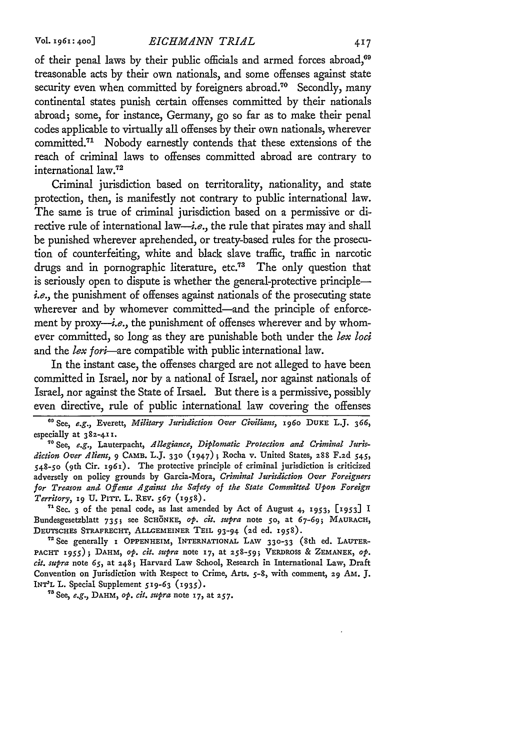of their penal laws by their public officials and armed forces abroad,<sup>69</sup> treasonable acts by their own nationals, and some offenses against state security even when committed by foreigners abroad.<sup>70</sup> Secondly, many continental states punish certain offenses committed by their nationals abroad; some, for instance, Germany, go so far as to make their penal codes applicable to virtually all offenses by their own nationals, wherever committed.<sup>71</sup> Nobody earnestly contends that these extensions of the reach of criminal laws to offenses committed abroad are contrary to international law. <sup>72</sup>

Criminal jurisdiction based on territorality, nationality, and state protection, then, is manifestly not contrary to public international law. The same is true of criminal jurisdiction based on a permissive or directive rule of international law-i.e., the rule that pirates may and shall be punished wherever aprehended, or treaty-based rules for the prosecution of counterfeiting, white and black slave traffic, traffic in narcotic drugs and in pornographic literature, etc.<sup>73</sup> The only question that is seriously open to dispute is whether the general-protective principlei.e., the punishment of offenses against nationals of the prosecuting state wherever and by whomever committed—and the principle of enforcement by proxy-i.e., the punishment of offenses wherever and by whomever committed, so long as they are punishable both under the *lex loci* and the *lex fori*—are compatible with public international law.

In the instant case, the offenses charged are not alleged to have been committed in Israel, nor by a national of Israel, nor against nationals of Israel, nor against the State of Irsael. But there is a permissive, possibly even directive, rule of public international law covering the offenses

**"'** See, e.g., Lauterpacht, *Allegiance, Diplomatic Protection and Criminal Jurisdiction Over Aliens,* **9** CAME. **L.J. 330** (94-7) **;** Rocha v. United States, *z88* **F.2d** 545, **548-50** (9th Cir. 1961). The protective principle of criminal jurisdiction is criticized adversely on policy grounds **by** Garcia-Mora, *Criminal Jurisdiction Over Foreigners for Treason and Offense Against the Safety of the State Comitted Upon Foreign Territory*, **19 U. PITT. L. REV.** 567 (1958).

**"1** Sec. **3** of the penal code, as last amended by Act of August 4, **1953, [1953]** I Bundesgesetzblatt 735; see **SCH5NKE,** *op. cit. supra* note *5o,* at 67-695 **MAURACH, DEUTSCHEs STRAFRECHT, ALLGEMEINER TElL** 93-94 **(2d** ed. **1958).**

**"** See generally i OPPENHEIM, **INTERNATIONAL LAW 330-33** (8th ed. LAUTER-**PACHT** 1955); DAHM, *op. cit. supra* note **17,** at **258-59;** VERDROSS & ZEMANEK, *op. cit. supra* note **65,** at **248;** Harvard Law School, Research in International Law, Draft Convention on Jurisdiction with Respect to Crime, Arts. 5-8, with comment, **29 AM. J.** *INT'L* L. Special Supplement *519-63* **(1935).**

**"** See, *e.g.,* **DAHM,** *op. cit. supra;* note **17,** at **257.**

**<sup>&</sup>quot;** See, *e.g.,* Everett, *Military Jurisdiction Over Civilians,* **196o DUKE L.J. 366,** especially at 382-411.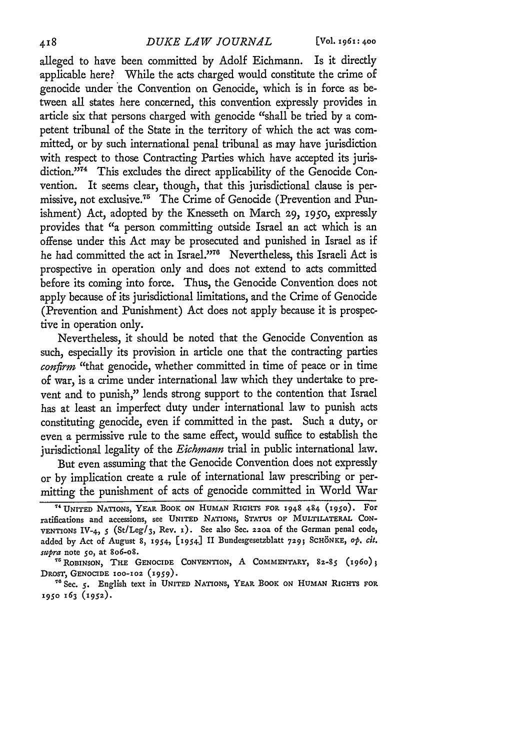alleged to have been committed by Adolf Eichmann. Is it directly applicable here? While the acts charged would constitute the crime of genocide under the Convention on Genocide, which is in force as between all states here concerned, this convention expressly provides in article six that persons charged with genocide "shall be tried by a competent tribunal of the State in the territory of which the act was committed, or by such international penal tribunal as may have jurisdiction with respect to those Contracting Parties which have accepted its jurisdiction."<sup>74</sup> This excludes the direct applicability of the Genocide Convention. It seems dear, though, that this jurisdictional clause is permissive, not exclusive.<sup>75</sup> The Crime of Genocide (Prevention and Punishment) Act, adopted by the Knesseth on March **29, 195o,** expressly provides that "a person committing outside Israel an act which is an offense under this Act may be prosecuted and punished in Israel as if he had committed the act in Israel."<sup>76</sup> Nevertheless, this Israeli Act is prospective in operation only and does not extend to acts committed before its coming into force. Thus, the Genocide Convention does not apply because of its jurisdictional limitations, and the Crime of Genocide (Prevention and Punishment) Act does not apply because it is prospective in operation only.

Nevertheless, it should be noted that the Genocide Convention as such, especially its provision in article one that the contracting parties *confirm* "that genocide, whether committed in time of peace or in time of war, is a crime under international law which they undertake to prevent and to punish," lends strong support to the contention that Israel has at least an imperfect duty under international law to punish acts constituting genocide, even if committed in the past. Such a duty, or even a permissive rule to the same effect, would suffice to establish the jurisdictional legality of the *Eichmann* trial in public international law.

But even assuming that the Genocide Convention does not expressly or by implication create a rule of international law prescribing or permitting the punishment of acts of genocide committed in World War

<sup>75</sup> ROBINSON, THE GENOCIDE CONVENTION, A COMMENTARY, 82-85 (1960); DRosT, **GENOCIDE 100-102 (1959).**

" Sec. **5.** English text in **UNITED** NATIONS, YEAR BOOK **ON** HUMAN **RIGHTS FOR 595o 163 (-95-).**

**<sup>&</sup>quot; <sup>4</sup> UNITED NATIONS, YEAR** BOOK **ON HUMAN** RIGHTS **FOR** 1948 484 (,950). For ratifications and accessions, **see UNITED NATIONS, STATUS OF MULTILATERAL CON-VENTIONS** IV-4 , 5 (St/Leg/3, Rev. **i). See** also **Sec. 2zoa of** the German penal **code,** added **by Act of** August **8,** 1954, [x954] **II** Bundesgesetzblatt **729, SCH6NKE, Op.** *cit. supra* note **50,** at 8o6-o8.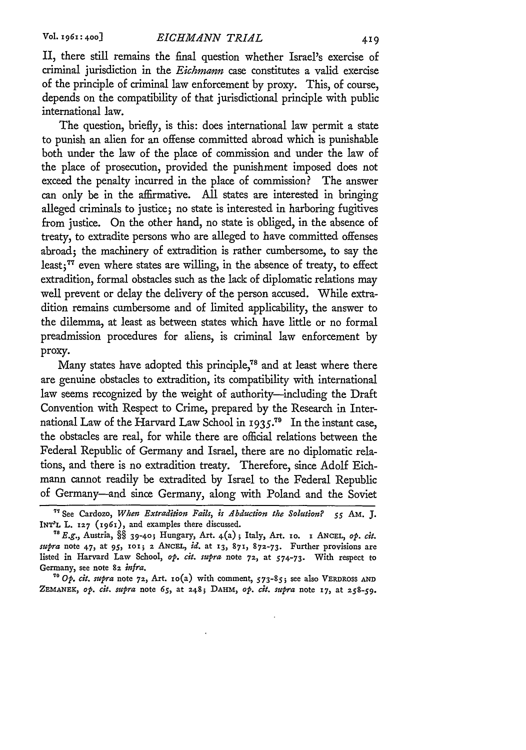II, there still remains the final question whether Israel's exercise of criminal jurisdiction in the *Eichmann* case constitutes a valid exercise of the principle of criminal law enforcement by proxy. This, of course, depends on the compatibility of that jurisdictional principle with public international law.

The question, briefly, is this: does international law permit a state to punish an alien for an offense committed abroad which is punishable both under the law of the place of commission and under the law of the place of prosecution, provided the punishment imposed does not exceed the penalty incurred in the place of commission? The answer can only be in the affirmative. All states are interested in bringing alleged criminals to justice; no state is interested in harboring fugitives from justice. On the other hand, no state is obliged, in the absence of treaty, to extradite persons who are alleged to have committed offenses abroad; the machinery of extradition is rather cumbersome, to say the least;<sup>77</sup> even where states are willing, in the absence of treaty, to effect extradition, formal obstacles such as the lack of diplomatic relations may well prevent or delay the delivery of the person accused. While extradition remains cumbersome and of limited applicability, the answer to the dilemma, at least as between states which have little or no formal preadmission procedures for aliens, is criminal law enforcement by proxy.

Many states have adopted this principle,<sup> $78$ </sup> and at least where there are genuine obstacles to extradition, its compatibility with international law seems recognized by the weight of authority—including the Draft Convention with Respect to Crime, prepared by the Research in International Law of the Harvard Law School in 1935.<sup>79</sup> In the instant case, the obstacles are real, for while there are official relations between the Federal Republic of Germany and Israel, there are no diplomatic relations, and there is no extradition treaty. Therefore, since Adolf Eichmann cannot readily be extradited by Israel to the Federal Republic of Germany-and since Germany, along with Poland and the Soviet

**<sup>10</sup>***Op. cit. supra* **note 72,** Art. **io(a)** with **comment, 573-855 see** also VERDROSS **AND** ZEMANEiK, *op. cit. supra* note *65,* **at 248 <sup>i</sup>** DAHM, *op. cit. supra* note **17, at 258-59.**

**<sup>77</sup>**See Cardozo, *When Extradition Fails, is Abduction the Solution? 55* **AM. J. INT'L** L. **127 (1961), and** examples there discussed.

*<sup>&</sup>quot;E.g.,* Austria, §§ **39-40** Hungary, Art. 4.(a) **5** Italy, Art. **io. i ANCEL,** *op. cit. supra* note **47, at 95, 1015** z **ANCEL,** *id.* **at 13, 871, 872-73.** Further provisions **are** listed in Harvard **Law** School, *op. cit. supra* note **72,** at **574-73- With** respect to **Germany,** see **note** 8z *infra.*